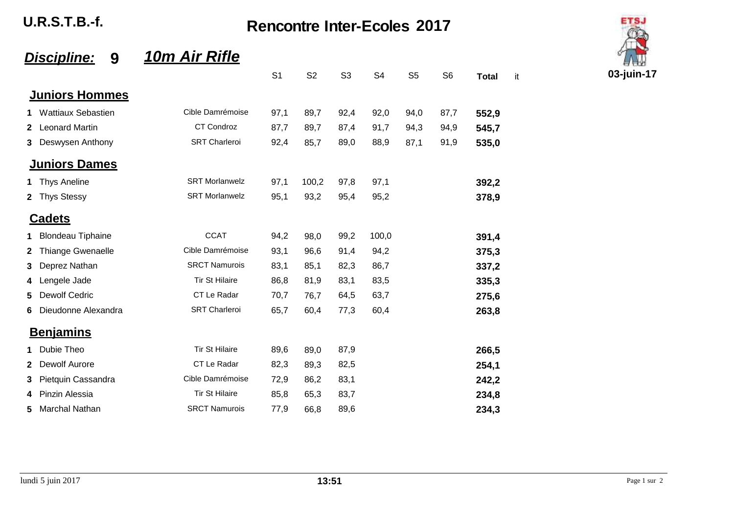| <b>U.R.S.T.B.-f.</b> | <b>Rencontre Inter-Ecoles 2017</b> |
|----------------------|------------------------------------|
|                      |                                    |

## *Discipline:* **9** *10m Air Rifle*

|              |                           |                       | S <sub>1</sub> | S <sub>2</sub> | S <sub>3</sub> | S <sub>4</sub> | S <sub>5</sub> | S <sub>6</sub> | <b>Total</b> |
|--------------|---------------------------|-----------------------|----------------|----------------|----------------|----------------|----------------|----------------|--------------|
|              | <b>Juniors Hommes</b>     |                       |                |                |                |                |                |                |              |
| 1            | <b>Wattiaux Sebastien</b> | Cible Damrémoise      | 97,1           | 89,7           | 92,4           | 92,0           | 94,0           | 87,7           | 552,9        |
| $\mathbf{2}$ | <b>Leonard Martin</b>     | <b>CT Condroz</b>     | 87,7           | 89,7           | 87,4           | 91,7           | 94,3           | 94,9           | 545,7        |
| 3            | Deswysen Anthony          | <b>SRT Charleroi</b>  | 92,4           | 85,7           | 89,0           | 88,9           | 87,1           | 91,9           | 535,0        |
|              | <b>Juniors Dames</b>      |                       |                |                |                |                |                |                |              |
| 1.           | <b>Thys Aneline</b>       | <b>SRT Morlanwelz</b> | 97,1           | 100,2          | 97,8           | 97,1           |                |                | 392,2        |
| $\mathbf{2}$ | <b>Thys Stessy</b>        | <b>SRT Morlanwelz</b> | 95,1           | 93,2           | 95,4           | 95,2           |                |                | 378,9        |
|              | <u>Cadets</u>             |                       |                |                |                |                |                |                |              |
| 1            | <b>Blondeau Tiphaine</b>  | <b>CCAT</b>           | 94,2           | 98,0           | 99,2           | 100,0          |                |                | 391,4        |
| 2            | Thiange Gwenaelle         | Cible Damrémoise      | 93,1           | 96,6           | 91,4           | 94,2           |                |                | 375,3        |
| 3            | Deprez Nathan             | <b>SRCT Namurois</b>  | 83,1           | 85,1           | 82,3           | 86,7           |                |                | 337,2        |
| 4            | Lengele Jade              | <b>Tir St Hilaire</b> | 86,8           | 81,9           | 83,1           | 83,5           |                |                | 335,3        |
| 5            | <b>Dewolf Cedric</b>      | CT Le Radar           | 70,7           | 76,7           | 64,5           | 63,7           |                |                | 275,6        |
| 6            | Dieudonne Alexandra       | <b>SRT Charleroi</b>  | 65,7           | 60,4           | 77,3           | 60,4           |                |                | 263,8        |
|              | <b>Benjamins</b>          |                       |                |                |                |                |                |                |              |
| 1.           | Dubie Theo                | <b>Tir St Hilaire</b> | 89,6           | 89,0           | 87,9           |                |                |                | 266,5        |
| 2            | Dewolf Aurore             | CT Le Radar           | 82,3           | 89,3           | 82,5           |                |                |                | 254,1        |
| 3            | Pietquin Cassandra        | Cible Damrémoise      | 72,9           | 86,2           | 83,1           |                |                |                | 242,2        |
| 4            | Pinzin Alessia            | <b>Tir St Hilaire</b> | 85,8           | 65,3           | 83,7           |                |                |                | 234,8        |
| 5            | Marchal Nathan            | <b>SRCT Namurois</b>  | 77,9           | 66,8           | 89,6           |                |                |                | 234,3        |